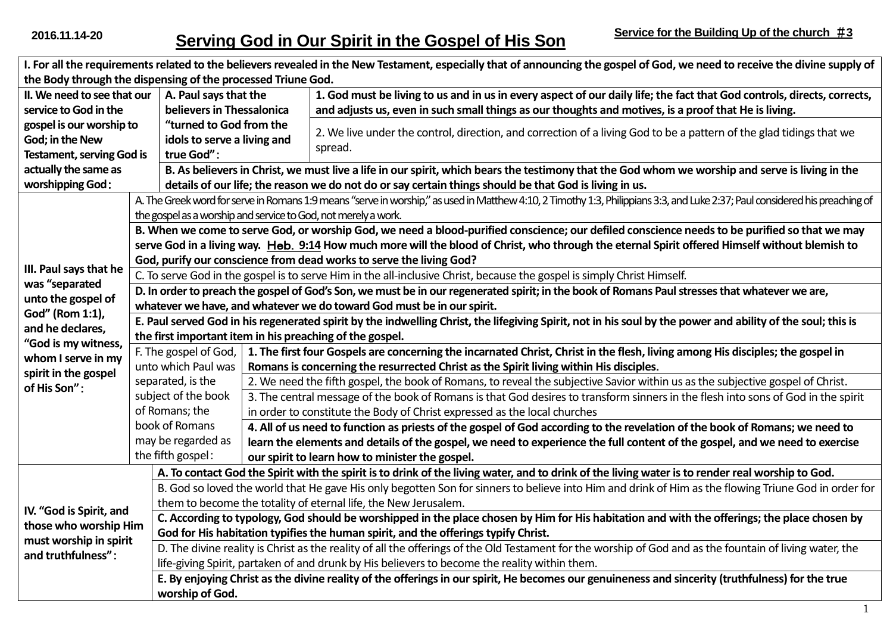| I. For all the requirements related to the believers revealed in the New Testament, especially that of announcing the gospel of God, we need to receive the divine supply of |                                                                                                                                                                                                                                                           |                                                                                                                                                                              |                                                                                                                                                 |  |  |
|------------------------------------------------------------------------------------------------------------------------------------------------------------------------------|-----------------------------------------------------------------------------------------------------------------------------------------------------------------------------------------------------------------------------------------------------------|------------------------------------------------------------------------------------------------------------------------------------------------------------------------------|-------------------------------------------------------------------------------------------------------------------------------------------------|--|--|
| the Body through the dispensing of the processed Triune God.                                                                                                                 |                                                                                                                                                                                                                                                           |                                                                                                                                                                              |                                                                                                                                                 |  |  |
| II. We need to see that our<br>A. Paul says that the                                                                                                                         |                                                                                                                                                                                                                                                           |                                                                                                                                                                              | 1. God must be living to us and in us in every aspect of our daily life; the fact that God controls, directs, corrects,                         |  |  |
| service to God in the                                                                                                                                                        | believers in Thessalonica                                                                                                                                                                                                                                 |                                                                                                                                                                              | and adjusts us, even in such small things as our thoughts and motives, is a proof that He is living.                                            |  |  |
| gospel is our worship to                                                                                                                                                     | "turned to God from the                                                                                                                                                                                                                                   |                                                                                                                                                                              | 2. We live under the control, direction, and correction of a living God to be a pattern of the glad tidings that we                             |  |  |
| God; in the New                                                                                                                                                              | idols to serve a living and                                                                                                                                                                                                                               |                                                                                                                                                                              | spread.                                                                                                                                         |  |  |
| true God":<br><b>Testament, serving God is</b>                                                                                                                               |                                                                                                                                                                                                                                                           |                                                                                                                                                                              |                                                                                                                                                 |  |  |
| actually the same as                                                                                                                                                         |                                                                                                                                                                                                                                                           |                                                                                                                                                                              | B. As believers in Christ, we must live a life in our spirit, which bears the testimony that the God whom we worship and serve is living in the |  |  |
| worshipping God:                                                                                                                                                             |                                                                                                                                                                                                                                                           |                                                                                                                                                                              | details of our life; the reason we do not do or say certain things should be that God is living in us.                                          |  |  |
| III. Paul says that he<br>was "separated<br>unto the gospel of                                                                                                               |                                                                                                                                                                                                                                                           | A. The Greek word for serve in Romans 1:9 means "serve in worship," as used in Matthew 4:10, 2 Timothy 1:3, Philippians 3:3, and Luke 2:37; Paul considered his preaching of |                                                                                                                                                 |  |  |
|                                                                                                                                                                              | the gospel as a worship and service to God, not merely a work.                                                                                                                                                                                            |                                                                                                                                                                              |                                                                                                                                                 |  |  |
|                                                                                                                                                                              | B. When we come to serve God, or worship God, we need a blood-purified conscience; our defiled conscience needs to be purified so that we may                                                                                                             |                                                                                                                                                                              |                                                                                                                                                 |  |  |
|                                                                                                                                                                              | serve God in a living way. Heb. 9:14 How much more will the blood of Christ, who through the eternal Spirit offered Himself without blemish to                                                                                                            |                                                                                                                                                                              |                                                                                                                                                 |  |  |
|                                                                                                                                                                              | God, purify our conscience from dead works to serve the living God?                                                                                                                                                                                       |                                                                                                                                                                              |                                                                                                                                                 |  |  |
|                                                                                                                                                                              | C. To serve God in the gospel is to serve Him in the all-inclusive Christ, because the gospel is simply Christ Himself.                                                                                                                                   |                                                                                                                                                                              |                                                                                                                                                 |  |  |
|                                                                                                                                                                              | D. In order to preach the gospel of God's Son, we must be in our regenerated spirit; in the book of Romans Paul stresses that whatever we are,                                                                                                            |                                                                                                                                                                              |                                                                                                                                                 |  |  |
| God" (Rom 1:1),                                                                                                                                                              | whatever we have, and whatever we do toward God must be in our spirit.                                                                                                                                                                                    |                                                                                                                                                                              |                                                                                                                                                 |  |  |
| and he declares,                                                                                                                                                             | E. Paul served God in his regenerated spirit by the indwelling Christ, the lifegiving Spirit, not in his soul by the power and ability of the soul; this is                                                                                               |                                                                                                                                                                              |                                                                                                                                                 |  |  |
| "God is my witness,<br>whom I serve in my<br>spirit in the gospel<br>of His Son":                                                                                            | the first important item in his preaching of the gospel.                                                                                                                                                                                                  |                                                                                                                                                                              |                                                                                                                                                 |  |  |
|                                                                                                                                                                              | F. The gospel of God,                                                                                                                                                                                                                                     |                                                                                                                                                                              | 1. The first four Gospels are concerning the incarnated Christ, Christ in the flesh, living among His disciples; the gospel in                  |  |  |
|                                                                                                                                                                              | unto which Paul was                                                                                                                                                                                                                                       |                                                                                                                                                                              | Romans is concerning the resurrected Christ as the Spirit living within His disciples.                                                          |  |  |
|                                                                                                                                                                              | separated, is the                                                                                                                                                                                                                                         |                                                                                                                                                                              | 2. We need the fifth gospel, the book of Romans, to reveal the subjective Savior within us as the subjective gospel of Christ.                  |  |  |
|                                                                                                                                                                              | subject of the book                                                                                                                                                                                                                                       |                                                                                                                                                                              | 3. The central message of the book of Romans is that God desires to transform sinners in the flesh into sons of God in the spirit               |  |  |
|                                                                                                                                                                              | of Romans; the                                                                                                                                                                                                                                            |                                                                                                                                                                              | in order to constitute the Body of Christ expressed as the local churches                                                                       |  |  |
|                                                                                                                                                                              | book of Romans                                                                                                                                                                                                                                            |                                                                                                                                                                              | 4. All of us need to function as priests of the gospel of God according to the revelation of the book of Romans; we need to                     |  |  |
|                                                                                                                                                                              | may be regarded as                                                                                                                                                                                                                                        |                                                                                                                                                                              | learn the elements and details of the gospel, we need to experience the full content of the gospel, and we need to exercise                     |  |  |
|                                                                                                                                                                              |                                                                                                                                                                                                                                                           | the fifth gospel:<br>our spirit to learn how to minister the gospel.                                                                                                         |                                                                                                                                                 |  |  |
|                                                                                                                                                                              | A. To contact God the Spirit with the spirit is to drink of the living water, and to drink of the living water is to render real worship to God.                                                                                                          |                                                                                                                                                                              |                                                                                                                                                 |  |  |
| IV. "God is Spirit, and<br>those who worship Him<br>must worship in spirit<br>and truthfulness":                                                                             | B. God so loved the world that He gave His only begotten Son for sinners to believe into Him and drink of Him as the flowing Triune God in order for                                                                                                      |                                                                                                                                                                              |                                                                                                                                                 |  |  |
|                                                                                                                                                                              | them to become the totality of eternal life, the New Jerusalem.                                                                                                                                                                                           |                                                                                                                                                                              |                                                                                                                                                 |  |  |
|                                                                                                                                                                              | C. According to typology, God should be worshipped in the place chosen by Him for His habitation and with the offerings; the place chosen by                                                                                                              |                                                                                                                                                                              |                                                                                                                                                 |  |  |
|                                                                                                                                                                              | God for His habitation typifies the human spirit, and the offerings typify Christ.                                                                                                                                                                        |                                                                                                                                                                              |                                                                                                                                                 |  |  |
|                                                                                                                                                                              | D. The divine reality is Christ as the reality of all the offerings of the Old Testament for the worship of God and as the fountain of living water, the<br>life-giving Spirit, partaken of and drunk by His believers to become the reality within them. |                                                                                                                                                                              |                                                                                                                                                 |  |  |
|                                                                                                                                                                              | E. By enjoying Christ as the divine reality of the offerings in our spirit, He becomes our genuineness and sincerity (truthfulness) for the true                                                                                                          |                                                                                                                                                                              |                                                                                                                                                 |  |  |
|                                                                                                                                                                              |                                                                                                                                                                                                                                                           |                                                                                                                                                                              |                                                                                                                                                 |  |  |
|                                                                                                                                                                              | worship of God.                                                                                                                                                                                                                                           |                                                                                                                                                                              |                                                                                                                                                 |  |  |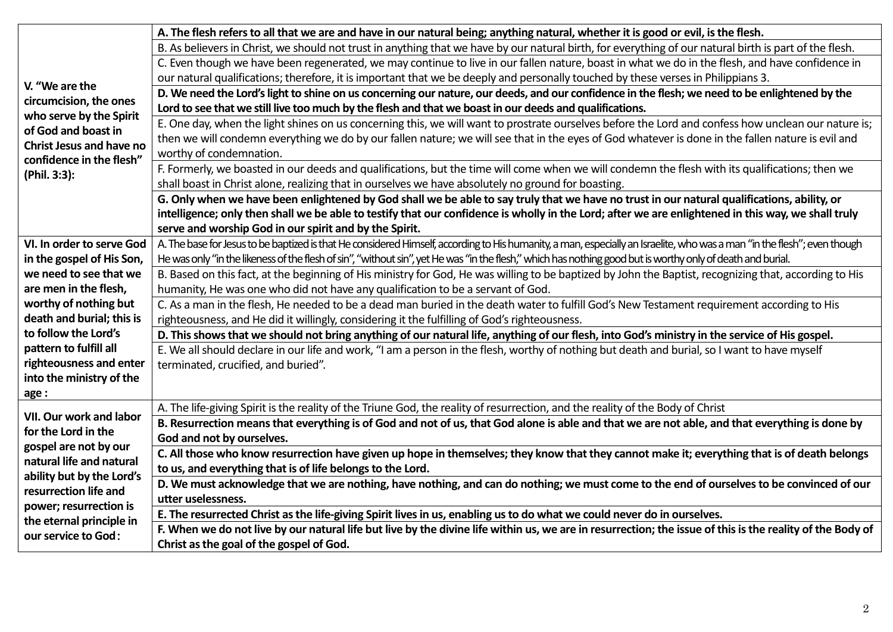| V. "We are the<br>circumcision, the ones<br>who serve by the Spirit<br>of God and boast in<br><b>Christ Jesus and have no</b><br>confidence in the flesh"<br>(Phil. 3:3): | A. The flesh refers to all that we are and have in our natural being; anything natural, whether it is good or evil, is the flesh.                                        |  |  |  |
|---------------------------------------------------------------------------------------------------------------------------------------------------------------------------|--------------------------------------------------------------------------------------------------------------------------------------------------------------------------|--|--|--|
|                                                                                                                                                                           | B. As believers in Christ, we should not trust in anything that we have by our natural birth, for everything of our natural birth is part of the flesh.                  |  |  |  |
|                                                                                                                                                                           | C. Even though we have been regenerated, we may continue to live in our fallen nature, boast in what we do in the flesh, and have confidence in                          |  |  |  |
|                                                                                                                                                                           | our natural qualifications; therefore, it is important that we be deeply and personally touched by these verses in Philippians 3.                                        |  |  |  |
|                                                                                                                                                                           | D. We need the Lord's light to shine on us concerning our nature, our deeds, and our confidence in the flesh; we need to be enlightened by the                           |  |  |  |
|                                                                                                                                                                           | Lord to see that we still live too much by the flesh and that we boast in our deeds and qualifications.                                                                  |  |  |  |
|                                                                                                                                                                           | E. One day, when the light shines on us concerning this, we will want to prostrate ourselves before the Lord and confess how unclean our nature is;                      |  |  |  |
|                                                                                                                                                                           | then we will condemn everything we do by our fallen nature; we will see that in the eyes of God whatever is done in the fallen nature is evil and                        |  |  |  |
|                                                                                                                                                                           | worthy of condemnation.                                                                                                                                                  |  |  |  |
|                                                                                                                                                                           | F. Formerly, we boasted in our deeds and qualifications, but the time will come when we will condemn the flesh with its qualifications; then we                          |  |  |  |
|                                                                                                                                                                           | shall boast in Christ alone, realizing that in ourselves we have absolutely no ground for boasting.                                                                      |  |  |  |
|                                                                                                                                                                           | G. Only when we have been enlightened by God shall we be able to say truly that we have no trust in our natural qualifications, ability, or                              |  |  |  |
|                                                                                                                                                                           | intelligence; only then shall we be able to testify that our confidence is wholly in the Lord; after we are enlightened in this way, we shall truly                      |  |  |  |
|                                                                                                                                                                           | serve and worship God in our spirit and by the Spirit.                                                                                                                   |  |  |  |
| VI. In order to serve God                                                                                                                                                 | A. The base for Jesus to be baptized is that He considered Himself, according to His humanity, a man, especially an Israelite, who was a man "in the flesh"; even though |  |  |  |
| in the gospel of His Son,                                                                                                                                                 | He was only "in the likeness of the flesh of sin", "without sin", yet He was "in the flesh," which has nothing good but is worthy only of death and burial.              |  |  |  |
| we need to see that we                                                                                                                                                    | B. Based on this fact, at the beginning of His ministry for God, He was willing to be baptized by John the Baptist, recognizing that, according to His                   |  |  |  |
| are men in the flesh,                                                                                                                                                     | humanity, He was one who did not have any qualification to be a servant of God.                                                                                          |  |  |  |
| worthy of nothing but                                                                                                                                                     | C. As a man in the flesh, He needed to be a dead man buried in the death water to fulfill God's New Testament requirement according to His                               |  |  |  |
| death and burial; this is                                                                                                                                                 | righteousness, and He did it willingly, considering it the fulfilling of God's righteousness.                                                                            |  |  |  |
| to follow the Lord's                                                                                                                                                      | D. This shows that we should not bring anything of our natural life, anything of our flesh, into God's ministry in the service of His gospel.                            |  |  |  |
| pattern to fulfill all                                                                                                                                                    | E. We all should declare in our life and work, "I am a person in the flesh, worthy of nothing but death and burial, so I want to have myself                             |  |  |  |
| righteousness and enter                                                                                                                                                   | terminated, crucified, and buried".                                                                                                                                      |  |  |  |
| into the ministry of the                                                                                                                                                  |                                                                                                                                                                          |  |  |  |
| age:                                                                                                                                                                      |                                                                                                                                                                          |  |  |  |
| VII. Our work and labor<br>for the Lord in the<br>gospel are not by our                                                                                                   | A. The life-giving Spirit is the reality of the Triune God, the reality of resurrection, and the reality of the Body of Christ                                           |  |  |  |
|                                                                                                                                                                           | B. Resurrection means that everything is of God and not of us, that God alone is able and that we are not able, and that everything is done by                           |  |  |  |
|                                                                                                                                                                           | God and not by ourselves.                                                                                                                                                |  |  |  |
| natural life and natural                                                                                                                                                  | C. All those who know resurrection have given up hope in themselves; they know that they cannot make it; everything that is of death belongs                             |  |  |  |
| ability but by the Lord's<br>resurrection life and<br>power; resurrection is<br>the eternal principle in<br>our service to God:                                           | to us, and everything that is of life belongs to the Lord.                                                                                                               |  |  |  |
|                                                                                                                                                                           | D. We must acknowledge that we are nothing, have nothing, and can do nothing; we must come to the end of ourselves to be convinced of our                                |  |  |  |
|                                                                                                                                                                           | utter uselessness.                                                                                                                                                       |  |  |  |
|                                                                                                                                                                           | E. The resurrected Christ as the life-giving Spirit lives in us, enabling us to do what we could never do in ourselves.                                                  |  |  |  |
|                                                                                                                                                                           | F. When we do not live by our natural life but live by the divine life within us, we are in resurrection; the issue of this is the reality of the Body of                |  |  |  |
|                                                                                                                                                                           | Christ as the goal of the gospel of God.                                                                                                                                 |  |  |  |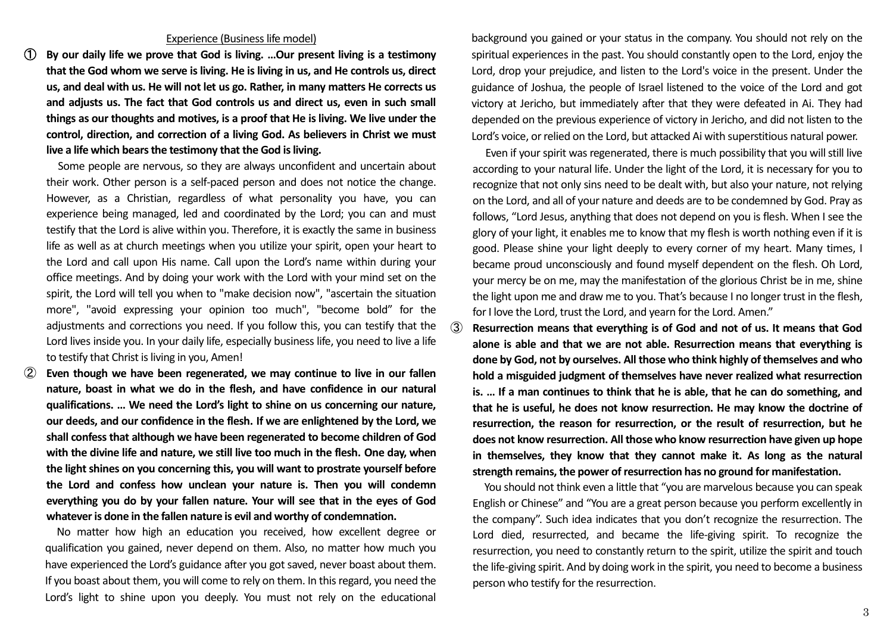## Experience (Business life model)

① **By our daily life we prove that God is living. …Our present living is a testimony that the God whom we serve is living. He is living in us, and He controls us, direct us, and deal with us. He will not let us go. Rather, in many matters He corrects us and adjusts us. The fact that God controls us and direct us, even in such small things as our thoughts and motives, is a proof that He is living. We live under the control, direction, and correction of a living God. As believers in Christ we must live a life which bears the testimony that the God is living.**

Some people are nervous, so they are always unconfident and uncertain about their work. Other person is a self-paced person and does not notice the change. However, as a Christian, regardless of what personality you have, you can experience being managed, led and coordinated by the Lord; you can and must testify that the Lord is alive within you. Therefore, it is exactly the same in business life as well as at church meetings when you utilize your spirit, open your heart to the Lord and call upon His name. Call upon the Lord's name within during your office meetings. And by doing your work with the Lord with your mind set on the spirit, the Lord will tell you when to "make decision now", "ascertain the situation more", "avoid expressing your opinion too much", "become bold" for the adjustments and corrections you need. If you follow this, you can testify that the Lord lives inside you. In your daily life, especially business life, you need to live a life to testify that Christ is living in you, Amen!

② **Even though we have been regenerated, we may continue to live in our fallen nature, boast in what we do in the flesh, and have confidence in our natural qualifications. … We need the Lord's light to shine on us concerning our nature, our deeds, and our confidence in the flesh. If we are enlightened by the Lord, we shall confess that although we have been regenerated to become children of God with the divine life and nature, we still live too much in the flesh. One day, when the light shines on you concerning this, you will want to prostrate yourself before the Lord and confess how unclean your nature is. Then you will condemn everything you do by your fallen nature. Your will see that in the eyes of God whatever is done in the fallen nature is evil and worthy of condemnation.**

No matter how high an education you received, how excellent degree or qualification you gained, never depend on them. Also, no matter how much you have experienced the Lord's guidance after you gotsaved, never boast about them. If you boast about them, you will come to rely on them. In this regard, you need the Lord's light to shine upon you deeply. You must not rely on the educational

background you gained or your status in the company. You should not rely on the spiritual experiences in the past. You should constantly open to the Lord, enjoy the Lord, drop your prejudice, and listen to the Lord's voice in the present. Under the guidance of Joshua, the people of Israel listened to the voice of the Lord and got victory at Jericho, but immediately after that they were defeated in Ai. They had depended on the previous experience of victory in Jericho, and did not listen to the Lord's voice, or relied on the Lord, but attacked Ai with superstitious natural power.

Even if your spirit was regenerated, there is much possibility that you will still live according to your natural life. Under the light of the Lord, it is necessary for you to recognize that not only sins need to be dealt with, but also your nature, not relying on the Lord, and all of your nature and deeds are to be condemned by God. Pray as follows, "Lord Jesus, anything that does not depend on you is flesh. When I see the glory of your light, it enables me to know that my flesh is worth nothing even if it is good. Please shine your light deeply to every corner of my heart. Many times, I became proud unconsciously and found myself dependent on the flesh. Oh Lord, your mercy be on me, may the manifestation of the glorious Christ be in me, shine the light upon me and draw me to you. That's because I no longer trust in the flesh, for I love the Lord, trust the Lord, and yearn for the Lord. Amen."

③ **Resurrection means that everything is of God and not of us. It means that God alone is able and that we are not able. Resurrection means that everything is done by God, not by ourselves. All those who think highly of themselves and who hold a misguided judgment of themselves have never realized what resurrection is. … If a man continues to think that he is able, that he can do something, and that he is useful, he does not know resurrection. He may know the doctrine of resurrection, the reason for resurrection, or the result of resurrection, but he does not know resurrection. All those who know resurrection have given up hope in themselves, they know that they cannot make it. As long as the natural strength remains, the power of resurrection has no ground for manifestation.**

 You should not think even a little that "you are marvelous because you can speak English or Chinese" and "You are a great person because you perform excellently in the company". Such idea indicates that you don't recognize the resurrection. The Lord died, resurrected, and became the life-giving spirit. To recognize the resurrection, you need to constantly return to the spirit, utilize the spirit and touch the life-giving spirit. And by doing work in the spirit, you need to become a business person who testify for the resurrection.